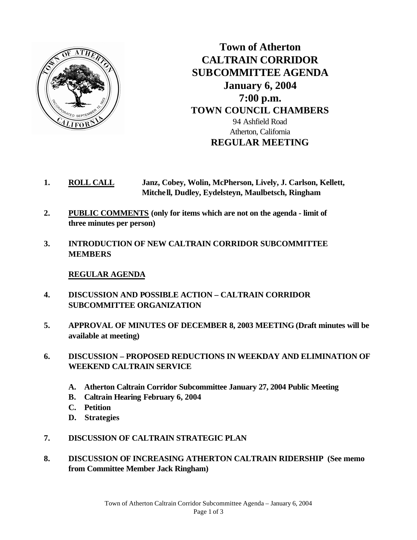

**Town of Atherton CALTRAIN CORRIDOR SUBCOMMITTEE AGENDA January 6, 2004 7:00 p.m. TOWN COUNCIL CHAMBERS** 94 Ashfield Road Atherton, California **REGULAR MEETING**

- **1. ROLL CALL Janz, Cobey, Wolin, McPherson, Lively, J. Carlson, Kellett, Mitchell, Dudley, Eydelsteyn, Maulbetsch, Ringham**
- **2. PUBLIC COMMENTS (only for items which are not on the agenda limit of three minutes per person)**
- **3. INTRODUCTION OF NEW CALTRAIN CORRIDOR SUBCOMMITTEE MEMBERS**

## **REGULAR AGENDA**

- **4. DISCUSSION AND POSSIBLE ACTION CALTRAIN CORRIDOR SUBCOMMITTEE ORGANIZATION**
- **5. APPROVAL OF MINUTES OF DECEMBER 8, 2003 MEETING (Draft minutes will be available at meeting)**
- **6. DISCUSSION PROPOSED REDUCTIONS IN WEEKDAY AND ELIMINATION OF WEEKEND CALTRAIN SERVICE**
	- **A. Atherton Caltrain Corridor Subcommittee January 27, 2004 Public Meeting**
	- **B. Caltrain Hearing February 6, 2004**
	- **C. Petition**
	- **D. Strategies**
- **7. DISCUSSION OF CALTRAIN STRATEGIC PLAN**
- **8. DISCUSSION OF INCREASING ATHERTON CALTRAIN RIDERSHIP (See memo from Committee Member Jack Ringham)**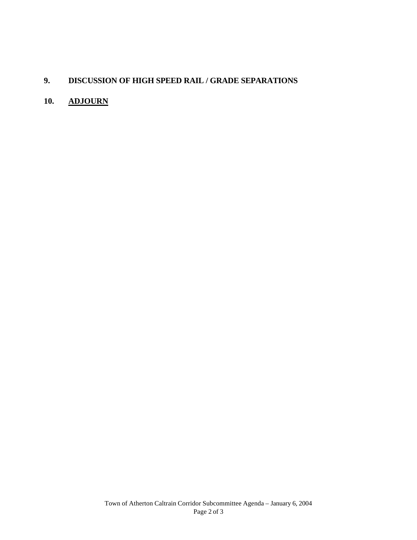## **9. DISCUSSION OF HIGH SPEED RAIL / GRADE SEPARATIONS**

## **10. ADJOURN**